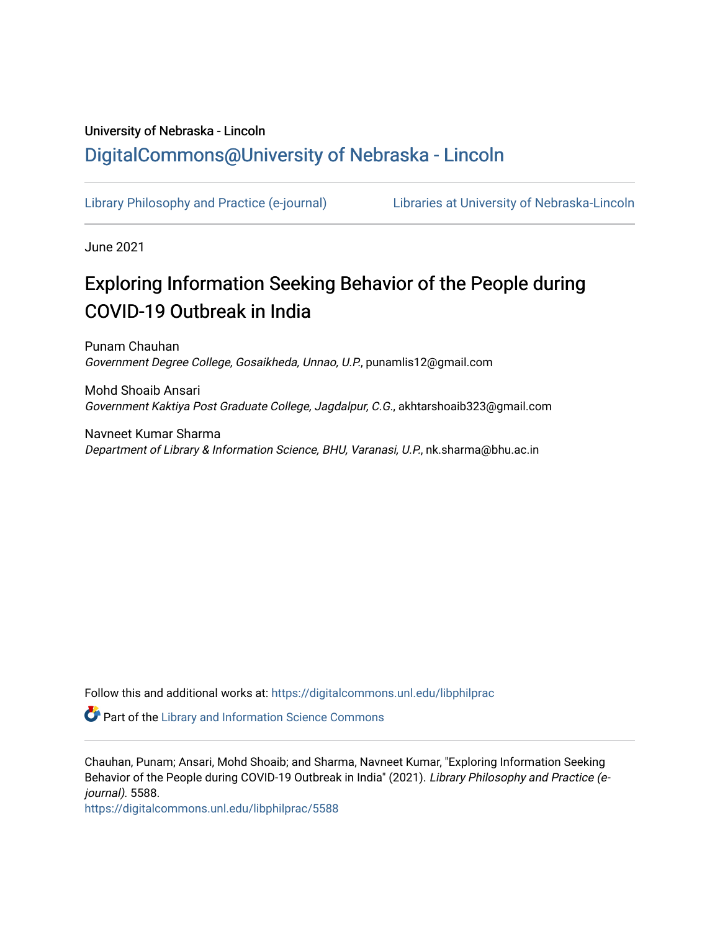# University of Nebraska - Lincoln [DigitalCommons@University of Nebraska - Lincoln](https://digitalcommons.unl.edu/)

[Library Philosophy and Practice \(e-journal\)](https://digitalcommons.unl.edu/libphilprac) [Libraries at University of Nebraska-Lincoln](https://digitalcommons.unl.edu/libraries) 

June 2021

# Exploring Information Seeking Behavior of the People during COVID-19 Outbreak in India

Punam Chauhan Government Degree College, Gosaikheda, Unnao, U.P., punamlis12@gmail.com

Mohd Shoaib Ansari Government Kaktiya Post Graduate College, Jagdalpur, C.G., akhtarshoaib323@gmail.com

Navneet Kumar Sharma Department of Library & Information Science, BHU, Varanasi, U.P., nk.sharma@bhu.ac.in

Follow this and additional works at: [https://digitalcommons.unl.edu/libphilprac](https://digitalcommons.unl.edu/libphilprac?utm_source=digitalcommons.unl.edu%2Flibphilprac%2F5588&utm_medium=PDF&utm_campaign=PDFCoverPages) 

**Part of the Library and Information Science Commons** 

Chauhan, Punam; Ansari, Mohd Shoaib; and Sharma, Navneet Kumar, "Exploring Information Seeking Behavior of the People during COVID-19 Outbreak in India" (2021). Library Philosophy and Practice (ejournal). 5588.

[https://digitalcommons.unl.edu/libphilprac/5588](https://digitalcommons.unl.edu/libphilprac/5588?utm_source=digitalcommons.unl.edu%2Flibphilprac%2F5588&utm_medium=PDF&utm_campaign=PDFCoverPages)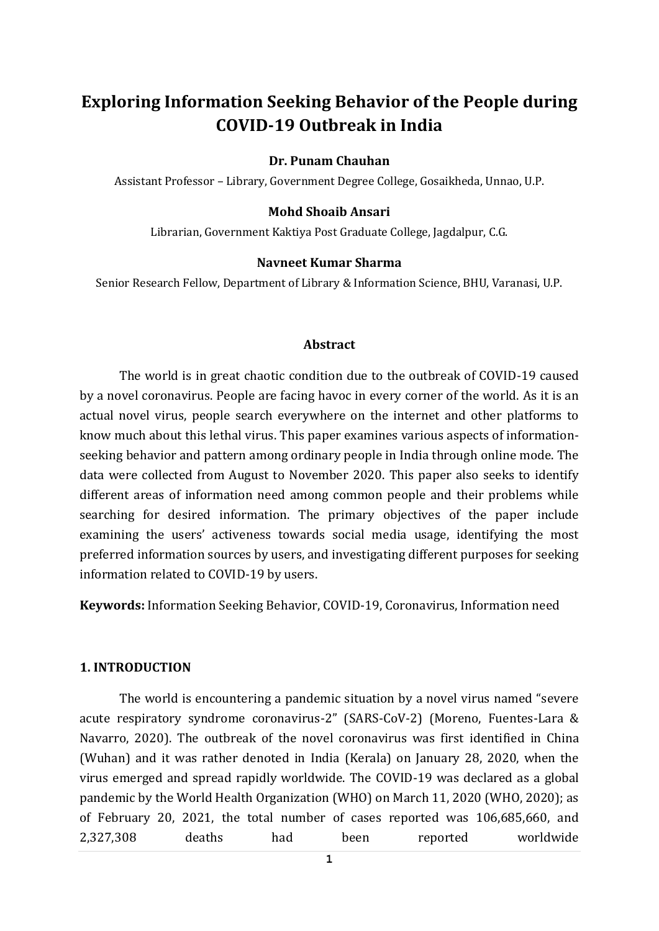# **Exploring Information Seeking Behavior of the People during COVID-19 Outbreak in India**

#### **Dr. Punam Chauhan**

Assistant Professor – Library, Government Degree College, Gosaikheda, Unnao, U.P.

#### **Mohd Shoaib Ansari**

Librarian, Government Kaktiya Post Graduate College, Jagdalpur, C.G.

#### **Navneet Kumar Sharma**

Senior Research Fellow, Department of Library & Information Science, BHU, Varanasi, U.P.

#### **Abstract**

The world is in great chaotic condition due to the outbreak of COVID-19 caused by a novel coronavirus. People are facing havoc in every corner of the world. As it is an actual novel virus, people search everywhere on the internet and other platforms to know much about this lethal virus. This paper examines various aspects of informationseeking behavior and pattern among ordinary people in India through online mode. The data were collected from August to November 2020. This paper also seeks to identify different areas of information need among common people and their problems while searching for desired information. The primary objectives of the paper include examining the users' activeness towards social media usage, identifying the most preferred information sources by users, and investigating different purposes for seeking information related to COVID-19 by users.

**Keywords:** Information Seeking Behavior, COVID-19, Coronavirus, Information need

#### **1. INTRODUCTION**

The world is encountering a pandemic situation by a novel virus named "severe acute respiratory syndrome coronavirus-2" (SARS-CoV-2) (Moreno, Fuentes-Lara & Navarro, 2020). The outbreak of the novel coronavirus was first identified in China (Wuhan) and it was rather denoted in India (Kerala) on January 28, 2020, when the virus emerged and spread rapidly worldwide. The COVID-19 was declared as a global pandemic by the World Health Organization (WHO) on March 11, 2020 (WHO, 2020); as of February 20, 2021, the total number of cases reported was 106,685,660, and 2,327,308 deaths had been reported worldwide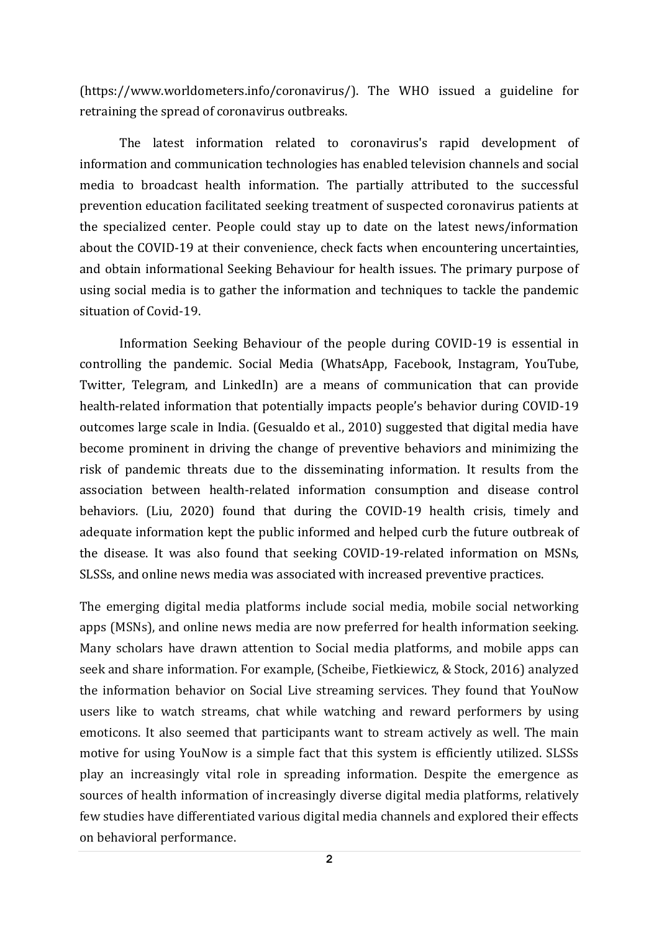(https://www.worldometers.info/coronavirus/). The WHO issued a guideline for retraining the spread of coronavirus outbreaks.

The latest information related to coronavirus's rapid development of information and communication technologies has enabled television channels and social media to broadcast health information. The partially attributed to the successful prevention education facilitated seeking treatment of suspected coronavirus patients at the specialized center. People could stay up to date on the latest news/information about the COVID-19 at their convenience, check facts when encountering uncertainties, and obtain informational Seeking Behaviour for health issues. The primary purpose of using social media is to gather the information and techniques to tackle the pandemic situation of Covid-19.

Information Seeking Behaviour of the people during COVID-19 is essential in controlling the pandemic. Social Media (WhatsApp, Facebook, Instagram, YouTube, Twitter, Telegram, and LinkedIn) are a means of communication that can provide health-related information that potentially impacts people's behavior during COVID-19 outcomes large scale in India. (Gesualdo et al., 2010) suggested that digital media have become prominent in driving the change of preventive behaviors and minimizing the risk of pandemic threats due to the disseminating information. It results from the association between health-related information consumption and disease control behaviors. (Liu, 2020) found that during the COVID-19 health crisis, timely and adequate information kept the public informed and helped curb the future outbreak of the disease. It was also found that seeking COVID-19-related information on MSNs, SLSSs, and online news media was associated with increased preventive practices.

The emerging digital media platforms include social media, mobile social networking apps (MSNs), and online news media are now preferred for health information seeking. Many scholars have drawn attention to Social media platforms, and mobile apps can seek and share information. For example, (Scheibe, Fietkiewicz, & Stock, 2016) analyzed the information behavior on Social Live streaming services. They found that YouNow users like to watch streams, chat while watching and reward performers by using emoticons. It also seemed that participants want to stream actively as well. The main motive for using YouNow is a simple fact that this system is efficiently utilized. SLSSs play an increasingly vital role in spreading information. Despite the emergence as sources of health information of increasingly diverse digital media platforms, relatively few studies have differentiated various digital media channels and explored their effects on behavioral performance.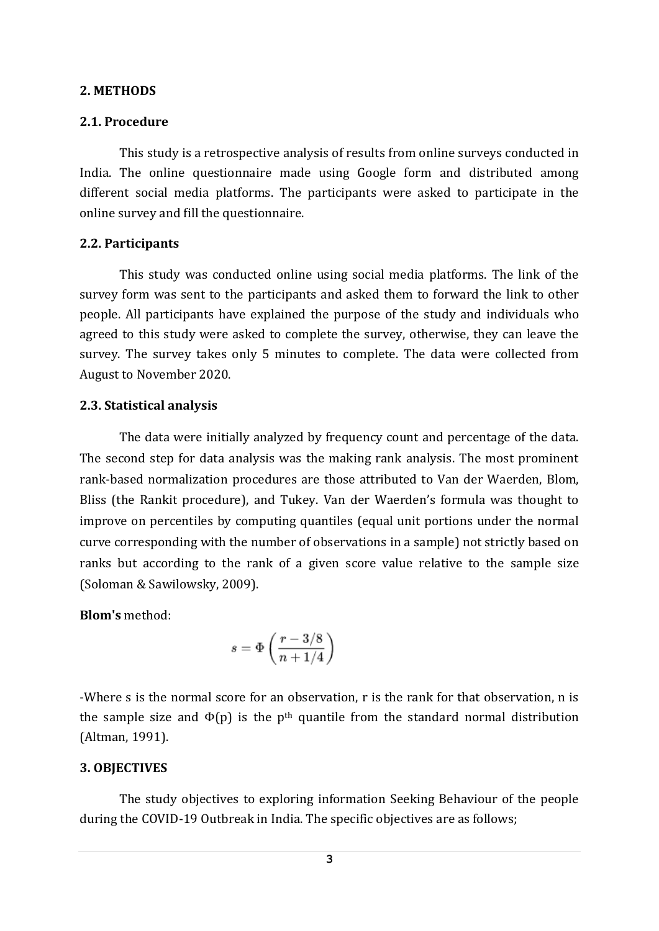#### **2. METHODS**

#### **2.1. Procedure**

This study is a retrospective analysis of results from online surveys conducted in India. The online questionnaire made using Google form and distributed among different social media platforms. The participants were asked to participate in the online survey and fill the questionnaire.

#### **2.2. Participants**

This study was conducted online using social media platforms. The link of the survey form was sent to the participants and asked them to forward the link to other people. All participants have explained the purpose of the study and individuals who agreed to this study were asked to complete the survey, otherwise, they can leave the survey. The survey takes only 5 minutes to complete. The data were collected from August to November 2020.

#### **2.3. Statistical analysis**

The data were initially analyzed by frequency count and percentage of the data. The second step for data analysis was the making rank analysis. The most prominent rank-based normalization procedures are those attributed to Van der Waerden, Blom, Bliss (the Rankit procedure), and Tukey. Van der Waerden's formula was thought to improve on percentiles by computing quantiles (equal unit portions under the normal curve corresponding with the number of observations in a sample) not strictly based on ranks but according to the rank of a given score value relative to the sample size (Soloman & Sawilowsky, 2009).

**Blom's** method:

$$
s=\Phi\left(\frac{r-3/8}{n+1/4}\right)
$$

-Where s is the normal score for an observation, r is the rank for that observation, n is the sample size and  $\Phi(p)$  is the p<sup>th</sup> quantile from the standard normal distribution (Altman, 1991).

#### **3. OBJECTIVES**

The study objectives to exploring information Seeking Behaviour of the people during the COVID-19 Outbreak in India. The specific objectives are as follows;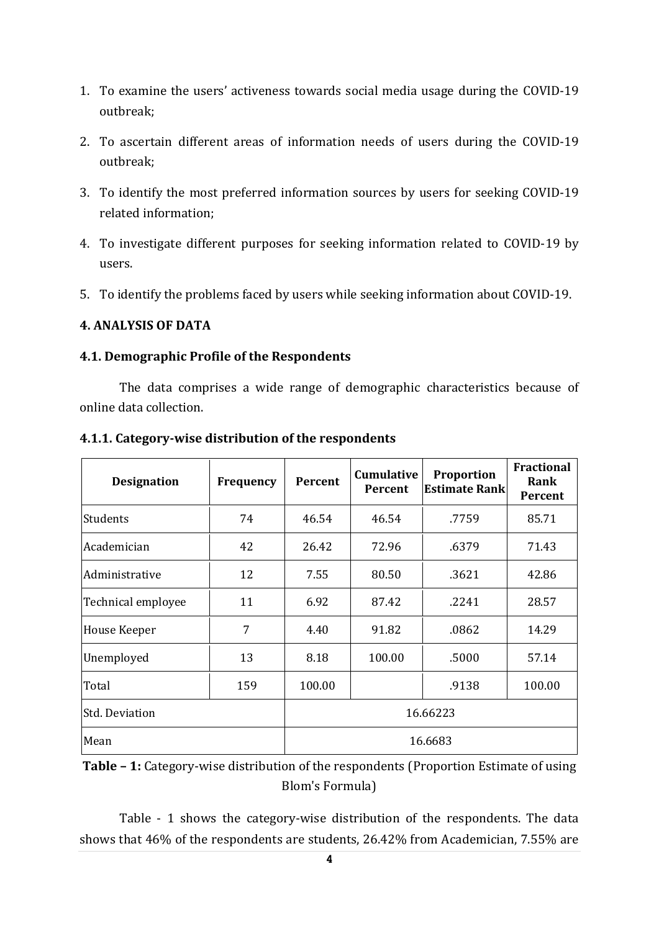- 1. To examine the users' activeness towards social media usage during the COVID-19 outbreak;
- 2. To ascertain different areas of information needs of users during the COVID-19 outbreak;
- 3. To identify the most preferred information sources by users for seeking COVID-19 related information;
- 4. To investigate different purposes for seeking information related to COVID-19 by users.
- 5. To identify the problems faced by users while seeking information about COVID-19.

### **4. ANALYSIS OF DATA**

#### **4.1. Demographic Profile of the Respondents**

The data comprises a wide range of demographic characteristics because of online data collection.

| <b>Designation</b>    | Frequency | Percent | Cumulative<br>Percent | <b>Proportion</b><br><b>Estimate Rank</b> | <b>Fractional</b><br>Rank<br>Percent |
|-----------------------|-----------|---------|-----------------------|-------------------------------------------|--------------------------------------|
| Students              | 74        | 46.54   | 46.54                 | .7759                                     | 85.71                                |
| Academician           | 42        | 26.42   | 72.96                 | .6379                                     | 71.43                                |
| Administrative        | 12        | 7.55    | 80.50                 | .3621                                     | 42.86                                |
| Technical employee    | 11        | 6.92    | 87.42                 | .2241                                     | 28.57                                |
| House Keeper          | 7         | 4.40    | 91.82                 | .0862                                     | 14.29                                |
| Unemployed            | 13        | 8.18    | 100.00                | .5000                                     | 57.14                                |
| Total                 | 159       | 100.00  |                       | .9138                                     | 100.00                               |
| <b>Std. Deviation</b> | 16.66223  |         |                       |                                           |                                      |
| Mean                  |           | 16.6683 |                       |                                           |                                      |

#### **4.1.1. Category-wise distribution of the respondents**

**Table – 1:** Category-wise distribution of the respondents (Proportion Estimate of using Blom's Formula)

Table - 1 shows the category-wise distribution of the respondents. The data shows that 46% of the respondents are students, 26.42% from Academician, 7.55% are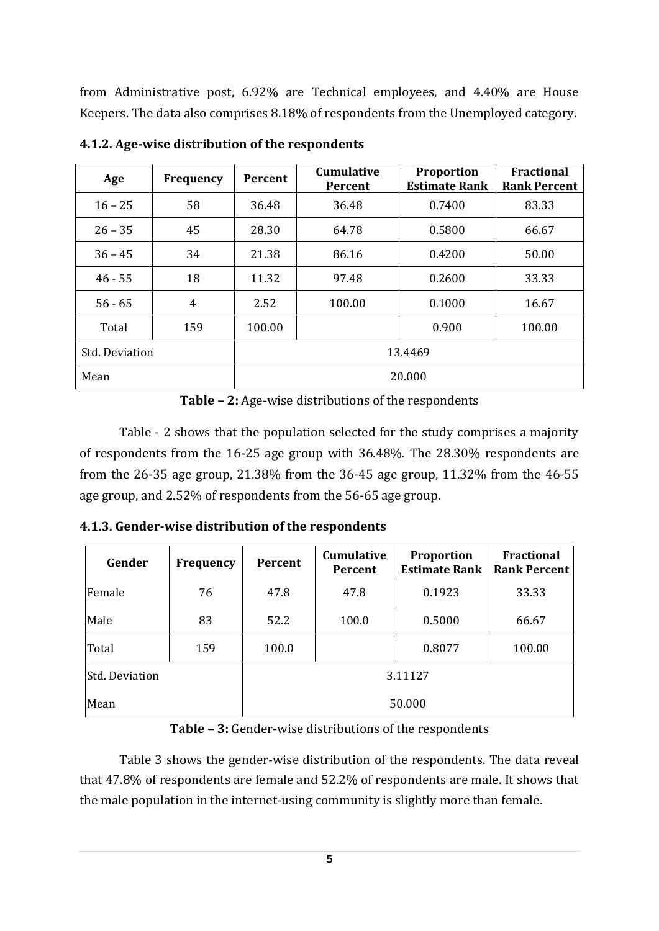from Administrative post, 6.92% are Technical employees, and 4.40% are House Keepers. The data also comprises 8.18% of respondents from the Unemployed category.

| Age            | Frequency | <b>Percent</b> | <b>Cumulative</b><br>Percent | Proportion<br><b>Estimate Rank</b> | <b>Fractional</b><br><b>Rank Percent</b> |  |
|----------------|-----------|----------------|------------------------------|------------------------------------|------------------------------------------|--|
| $16 - 25$      | 58        | 36.48          | 36.48                        | 0.7400                             | 83.33                                    |  |
| $26 - 35$      | 45        | 28.30          | 64.78                        | 0.5800                             | 66.67                                    |  |
| $36 - 45$      | 34        | 21.38          | 86.16                        | 0.4200                             | 50.00                                    |  |
| $46 - 55$      | 18        | 11.32          | 97.48                        | 0.2600                             | 33.33                                    |  |
| $56 - 65$      | 4         | 2.52           | 100.00                       | 0.1000                             | 16.67                                    |  |
| Total          | 159       | 100.00         |                              | 0.900                              | 100.00                                   |  |
| Std. Deviation |           | 13.4469        |                              |                                    |                                          |  |
| Mean           |           | 20.000         |                              |                                    |                                          |  |

**4.1.2. Age-wise distribution of the respondents**

**Table – 2:** Age-wise distributions of the respondents

Table - 2 shows that the population selected for the study comprises a majority of respondents from the 16-25 age group with 36.48%. The 28.30% respondents are from the 26-35 age group, 21.38% from the 36-45 age group, 11.32% from the 46-55 age group, and 2.52% of respondents from the 56-65 age group.

**4.1.3. Gender-wise distribution of the respondents**

| Gender         | Frequency | Percent | <b>Cumulative</b><br>Percent | <b>Proportion</b><br><b>Estimate Rank</b> | <b>Fractional</b><br><b>Rank Percent</b> |
|----------------|-----------|---------|------------------------------|-------------------------------------------|------------------------------------------|
| Female         | 76        | 47.8    | 47.8                         | 0.1923                                    | 33.33                                    |
| Male           | 83        | 52.2    | 100.0                        | 0.5000                                    | 66.67                                    |
| Total          | 159       | 100.0   |                              | 0.8077                                    | 100.00                                   |
| Std. Deviation | 3.11127   |         |                              |                                           |                                          |
| 50.000<br>Mean |           |         |                              |                                           |                                          |

**Table – 3:** Gender-wise distributions of the respondents

Table 3 shows the gender-wise distribution of the respondents. The data reveal that 47.8% of respondents are female and 52.2% of respondents are male. It shows that the male population in the internet-using community is slightly more than female.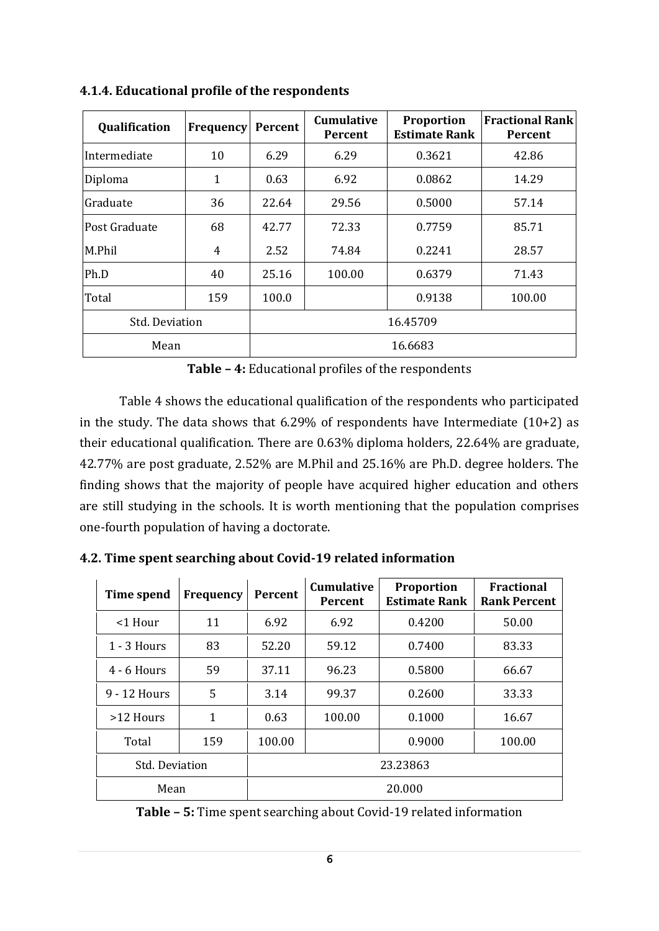| Qualification  | Frequency    | Percent  | <b>Cumulative</b><br><b>Percent</b> | <b>Proportion</b><br><b>Estimate Rank</b> | <b>Fractional Rank</b><br>Percent |
|----------------|--------------|----------|-------------------------------------|-------------------------------------------|-----------------------------------|
| Intermediate   | 10           | 6.29     | 6.29                                | 0.3621                                    | 42.86                             |
| Diploma        | $\mathbf{1}$ | 0.63     | 6.92                                | 0.0862                                    | 14.29                             |
| Graduate       | 36           | 22.64    | 29.56                               | 0.5000                                    | 57.14                             |
| Post Graduate  | 68           | 42.77    | 72.33                               | 0.7759                                    | 85.71                             |
| M.Phil         | 4            | 2.52     | 74.84                               | 0.2241                                    | 28.57                             |
| Ph.D           | 40           | 25.16    | 100.00                              | 0.6379                                    | 71.43                             |
| Total          | 159          | 100.0    |                                     | 0.9138                                    | 100.00                            |
| Std. Deviation |              | 16.45709 |                                     |                                           |                                   |
| Mean           |              | 16.6683  |                                     |                                           |                                   |

**4.1.4. Educational profile of the respondents**

**Table – 4:** Educational profiles of the respondents

Table 4 shows the educational qualification of the respondents who participated in the study. The data shows that  $6.29\%$  of respondents have Intermediate  $(10+2)$  as their educational qualification. There are 0.63% diploma holders, 22.64% are graduate, 42.77% are post graduate, 2.52% are M.Phil and 25.16% are Ph.D. degree holders. The finding shows that the majority of people have acquired higher education and others are still studying in the schools. It is worth mentioning that the population comprises one-fourth population of having a doctorate.

| Time spend    | Frequency                  | Percent | <b>Cumulative</b><br><b>Proportion</b><br><b>Estimate Rank</b><br><b>Percent</b> |        | <b>Fractional</b><br><b>Rank Percent</b> |
|---------------|----------------------------|---------|----------------------------------------------------------------------------------|--------|------------------------------------------|
| <1 Hour       | 11                         | 6.92    | 6.92                                                                             | 0.4200 | 50.00                                    |
| $1 - 3$ Hours | 83                         | 52.20   | 59.12                                                                            | 0.7400 | 83.33                                    |
| $4 - 6$ Hours | 59                         | 37.11   | 96.23                                                                            | 0.5800 | 66.67                                    |
| 9 - 12 Hours  | 5                          | 3.14    | 99.37                                                                            | 0.2600 | 33.33                                    |
| >12 Hours     | $\mathbf{1}$               | 0.63    | 100.00                                                                           | 0.1000 | 16.67                                    |
| Total         | 159                        | 100.00  |                                                                                  | 0.9000 | 100.00                                   |
|               | 23.23863<br>Std. Deviation |         |                                                                                  |        |                                          |
| Mean          |                            | 20.000  |                                                                                  |        |                                          |

**4.2. Time spent searching about Covid-19 related information**

**Table – 5:** Time spent searching about Covid-19 related information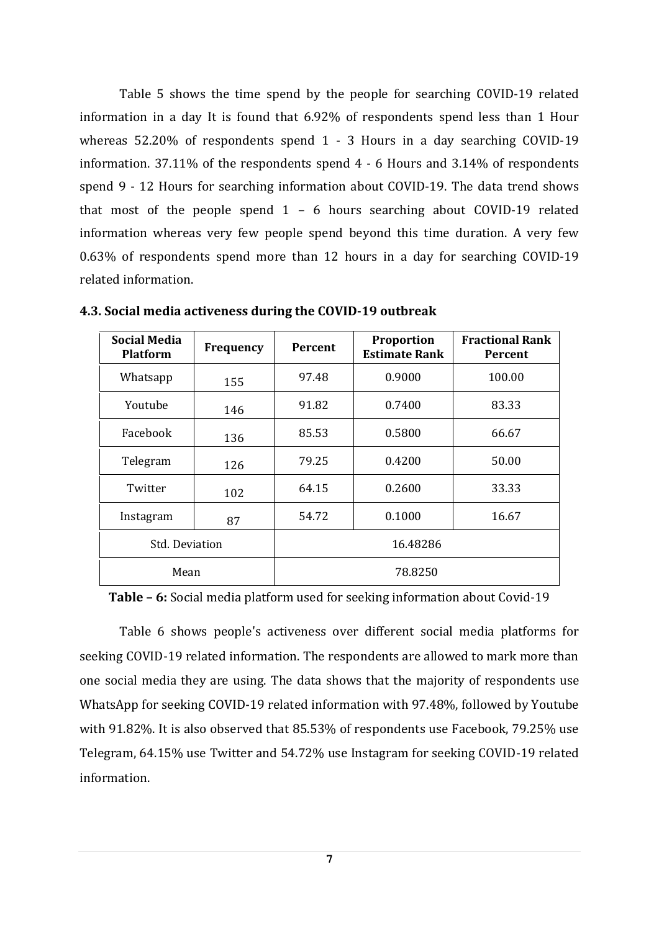Table 5 shows the time spend by the people for searching COVID-19 related information in a day It is found that 6.92% of respondents spend less than 1 Hour whereas 52.20% of respondents spend 1 - 3 Hours in a day searching COVID-19 information. 37.11% of the respondents spend 4 - 6 Hours and 3.14% of respondents spend 9 - 12 Hours for searching information about COVID-19. The data trend shows that most of the people spend 1 – 6 hours searching about COVID-19 related information whereas very few people spend beyond this time duration. A very few 0.63% of respondents spend more than 12 hours in a day for searching COVID-19 related information.

| <b>Social Media</b><br><b>Platform</b> | <b>Frequency</b> | <b>Percent</b>  | <b>Proportion</b><br><b>Estimate Rank</b> | <b>Fractional Rank</b><br>Percent |
|----------------------------------------|------------------|-----------------|-------------------------------------------|-----------------------------------|
| Whatsapp                               | 155              | 97.48           | 0.9000                                    | 100.00                            |
| Youtube                                | 146              | 91.82           | 0.7400                                    | 83.33                             |
| Facebook                               | 136              | 85.53           | 0.5800                                    | 66.67                             |
| Telegram                               | 126              | 79.25           | 0.4200                                    | 50.00                             |
| Twitter                                | 102              | 64.15           | 0.2600                                    | 33.33                             |
| Instagram                              | 87               | 54.72<br>0.1000 |                                           | 16.67                             |
| Std. Deviation                         |                  | 16.48286        |                                           |                                   |
| Mean                                   |                  | 78.8250         |                                           |                                   |

**4.3. Social media activeness during the COVID-19 outbreak**

**Table – 6:** Social media platform used for seeking information about Covid-19

Table 6 shows people's activeness over different social media platforms for seeking COVID-19 related information. The respondents are allowed to mark more than one social media they are using. The data shows that the majority of respondents use WhatsApp for seeking COVID-19 related information with 97.48%, followed by Youtube with 91.82%. It is also observed that 85.53% of respondents use Facebook, 79.25% use Telegram, 64.15% use Twitter and 54.72% use Instagram for seeking COVID-19 related information.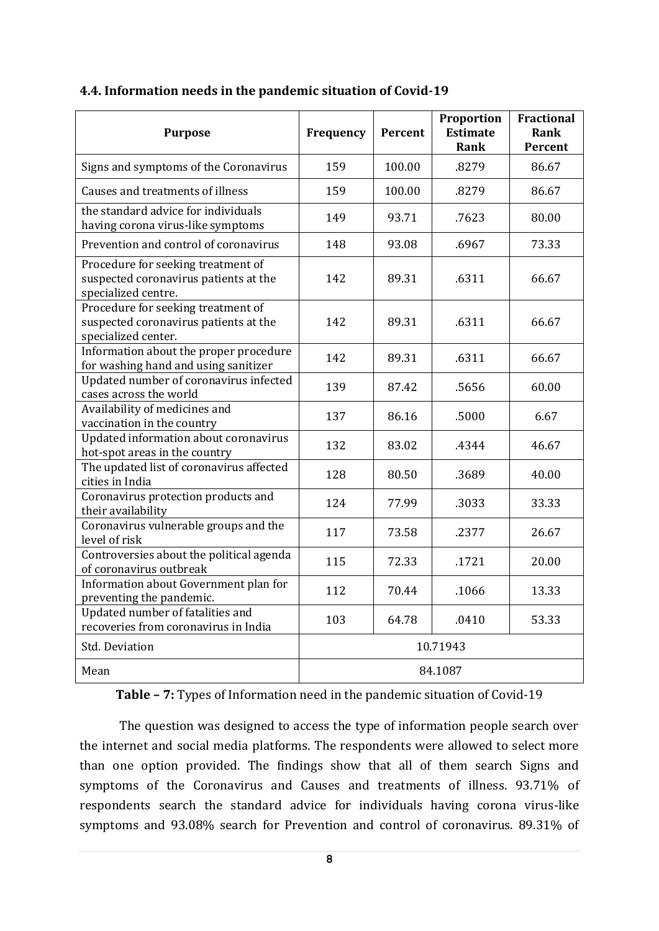| <b>Purpose</b>                                                                                     | Frequency | Percent | <b>Proportion</b><br><b>Estimate</b><br><b>Rank</b> | <b>Fractional</b><br><b>Rank</b><br>Percent |
|----------------------------------------------------------------------------------------------------|-----------|---------|-----------------------------------------------------|---------------------------------------------|
| Signs and symptoms of the Coronavirus                                                              | 159       | 100.00  | .8279                                               | 86.67                                       |
| Causes and treatments of illness                                                                   | 159       | 100.00  | .8279                                               | 86.67                                       |
| the standard advice for individuals<br>having corona virus-like symptoms                           | 149       | 93.71   | .7623                                               | 80.00                                       |
| Prevention and control of coronavirus                                                              | 148       | 93.08   | .6967                                               | 73.33                                       |
| Procedure for seeking treatment of<br>suspected coronavirus patients at the<br>specialized centre. | 142       | 89.31   | .6311                                               | 66.67                                       |
| Procedure for seeking treatment of<br>suspected coronavirus patients at the<br>specialized center. | 142       | 89.31   | .6311                                               | 66.67                                       |
| Information about the proper procedure<br>for washing hand and using sanitizer                     | 142       | 89.31   | .6311                                               | 66.67                                       |
| Updated number of coronavirus infected<br>cases across the world                                   | 139       | 87.42   | .5656                                               | 60.00                                       |
| Availability of medicines and<br>vaccination in the country                                        | 137       | 86.16   | .5000                                               | 6.67                                        |
| Updated information about coronavirus<br>hot-spot areas in the country                             | 132       | 83.02   | .4344                                               | 46.67                                       |
| The updated list of coronavirus affected<br>cities in India                                        | 128       | 80.50   | .3689                                               | 40.00                                       |
| Coronavirus protection products and<br>their availability                                          | 124       | 77.99   | .3033                                               | 33.33                                       |
| Coronavirus vulnerable groups and the<br>level of risk                                             | 117       | 73.58   | .2377                                               | 26.67                                       |
| Controversies about the political agenda<br>of coronavirus outbreak                                | 115       | 72.33   | .1721                                               | 20.00                                       |
| Information about Government plan for<br>preventing the pandemic.                                  | 112       | 70.44   | .1066                                               | 13.33                                       |
| Updated number of fatalities and<br>recoveries from coronavirus in India                           | 103       | 64.78   | .0410                                               | 53.33                                       |
| <b>Std. Deviation</b>                                                                              |           |         | 10.71943                                            |                                             |
| Mean                                                                                               |           |         | 84.1087                                             |                                             |

#### **4.4. Information needs in the pandemic situation of Covid-19**

**Table – 7:** Types of Information need in the pandemic situation of Covid-19

The question was designed to access the type of information people search over the internet and social media platforms. The respondents were allowed to select more than one option provided. The findings show that all of them search Signs and symptoms of the Coronavirus and Causes and treatments of illness. 93.71% of respondents search the standard advice for individuals having corona virus-like symptoms and 93.08% search for Prevention and control of coronavirus. 89.31% of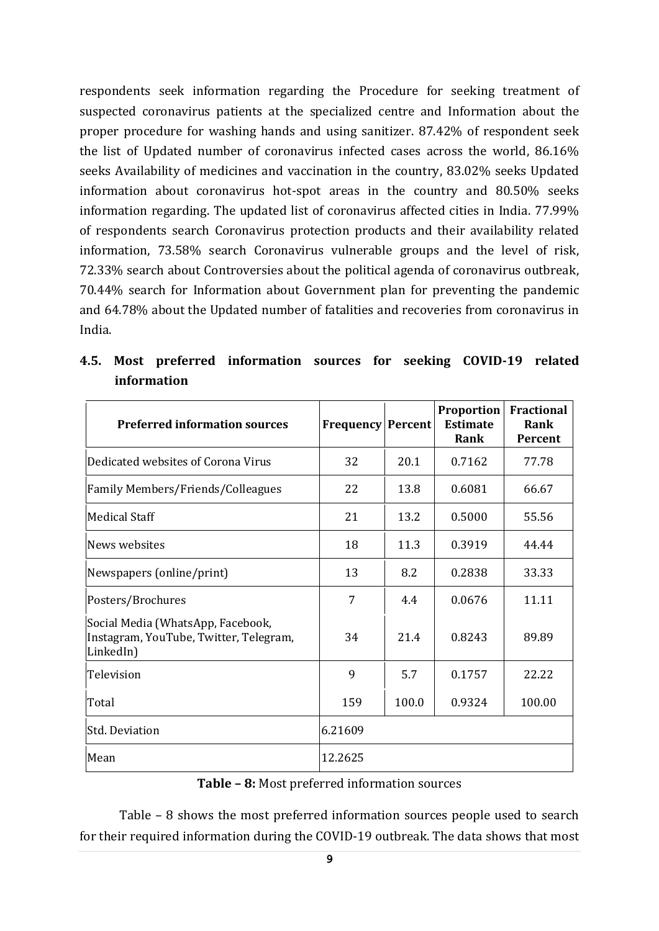respondents seek information regarding the Procedure for seeking treatment of suspected coronavirus patients at the specialized centre and Information about the proper procedure for washing hands and using sanitizer. 87.42% of respondent seek the list of Updated number of coronavirus infected cases across the world, 86.16% seeks Availability of medicines and vaccination in the country, 83.02% seeks Updated information about coronavirus hot-spot areas in the country and 80.50% seeks information regarding. The updated list of coronavirus affected cities in India. 77.99% of respondents search Coronavirus protection products and their availability related information, 73.58% search Coronavirus vulnerable groups and the level of risk, 72.33% search about Controversies about the political agenda of coronavirus outbreak, 70.44% search for Information about Government plan for preventing the pandemic and 64.78% about the Updated number of fatalities and recoveries from coronavirus in India.

| <b>Preferred information sources</b>                                                     | <b>Frequency Percent</b> |       | <b>Proportion</b><br><b>Estimate</b><br>Rank | <b>Fractional</b><br>Rank<br>Percent |
|------------------------------------------------------------------------------------------|--------------------------|-------|----------------------------------------------|--------------------------------------|
| Dedicated websites of Corona Virus                                                       | 32                       | 20.1  | 0.7162                                       | 77.78                                |
| Family Members/Friends/Colleagues                                                        | 22                       | 13.8  | 0.6081                                       | 66.67                                |
| <b>Medical Staff</b>                                                                     | 21                       | 13.2  | 0.5000                                       | 55.56                                |
| News websites                                                                            | 18                       | 11.3  | 0.3919                                       | 44.44                                |
| Newspapers (online/print)                                                                | 13                       | 8.2   | 0.2838                                       | 33.33                                |
| Posters/Brochures                                                                        | 7                        | 4.4   | 0.0676                                       | 11.11                                |
| Social Media (WhatsApp, Facebook,<br>Instagram, YouTube, Twitter, Telegram,<br>LinkedIn) | 34                       | 21.4  | 0.8243                                       | 89.89                                |
| Television                                                                               | 9                        | 5.7   | 0.1757                                       | 22.22                                |
| Total                                                                                    | 159                      | 100.0 | 0.9324                                       | 100.00                               |
| Std. Deviation                                                                           | 6.21609                  |       |                                              |                                      |
| Mean                                                                                     | 12.2625                  |       |                                              |                                      |

# **4.5. Most preferred information sources for seeking COVID-19 related information**

#### **Table – 8:** Most preferred information sources

Table – 8 shows the most preferred information sources people used to search for their required information during the COVID-19 outbreak. The data shows that most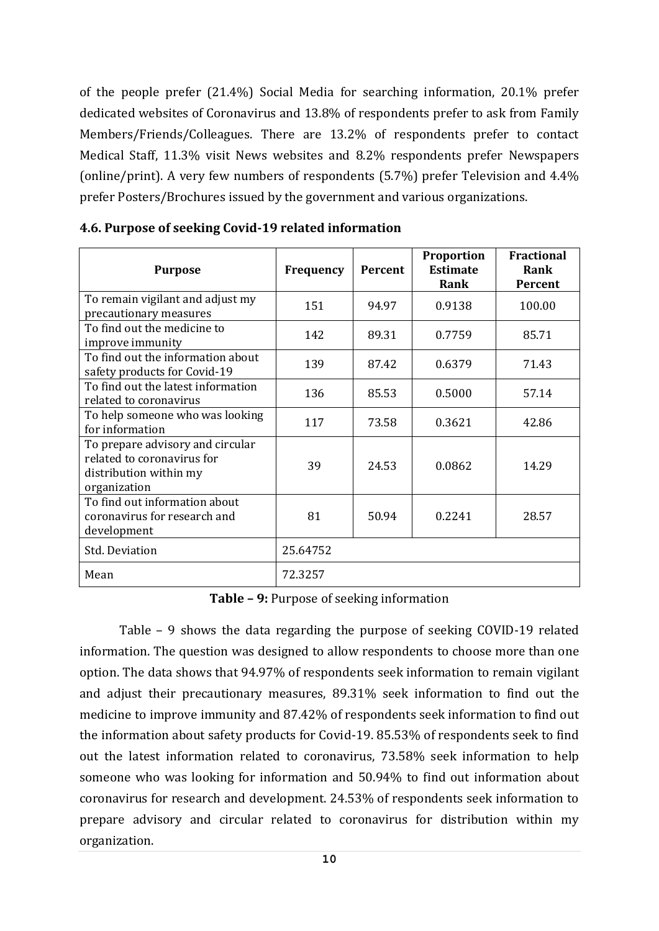of the people prefer (21.4%) Social Media for searching information, 20.1% prefer dedicated websites of Coronavirus and 13.8% of respondents prefer to ask from Family Members/Friends/Colleagues. There are 13.2% of respondents prefer to contact Medical Staff, 11.3% visit News websites and 8.2% respondents prefer Newspapers (online/print). A very few numbers of respondents (5.7%) prefer Television and 4.4% prefer Posters/Brochures issued by the government and various organizations.

| <b>Purpose</b>                                                                                           | Frequency | Percent | <b>Proportion</b><br><b>Estimate</b><br>Rank | <b>Fractional</b><br>Rank<br>Percent |
|----------------------------------------------------------------------------------------------------------|-----------|---------|----------------------------------------------|--------------------------------------|
| To remain vigilant and adjust my<br>precautionary measures                                               | 151       | 94.97   | 0.9138                                       | 100.00                               |
| To find out the medicine to<br>improve immunity                                                          | 142       | 89.31   | 0.7759                                       | 85.71                                |
| To find out the information about<br>safety products for Covid-19                                        | 139       | 87.42   | 0.6379                                       | 71.43                                |
| To find out the latest information<br>related to coronavirus                                             | 136       | 85.53   | 0.5000                                       | 57.14                                |
| To help someone who was looking<br>for information                                                       | 117       | 73.58   | 0.3621                                       | 42.86                                |
| To prepare advisory and circular<br>related to coronavirus for<br>distribution within my<br>organization | 39        | 24.53   | 0.0862                                       | 14.29                                |
| To find out information about<br>coronavirus for research and<br>development                             | 81        | 50.94   | 0.2241                                       | 28.57                                |
| Std. Deviation                                                                                           | 25.64752  |         |                                              |                                      |
| Mean                                                                                                     | 72.3257   |         |                                              |                                      |

**4.6. Purpose of seeking Covid-19 related information**

**Table – 9:** Purpose of seeking information

Table – 9 shows the data regarding the purpose of seeking COVID-19 related information. The question was designed to allow respondents to choose more than one option. The data shows that 94.97% of respondents seek information to remain vigilant and adjust their precautionary measures, 89.31% seek information to find out the medicine to improve immunity and 87.42% of respondents seek information to find out the information about safety products for Covid-19. 85.53% of respondents seek to find out the latest information related to coronavirus, 73.58% seek information to help someone who was looking for information and 50.94% to find out information about coronavirus for research and development. 24.53% of respondents seek information to prepare advisory and circular related to coronavirus for distribution within my organization.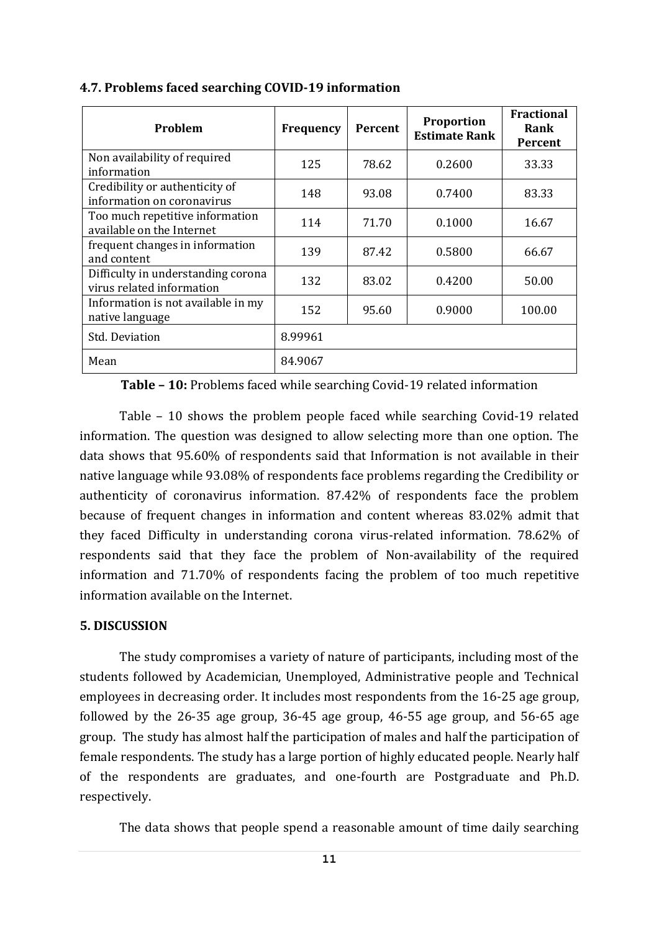| Problem                                                         | Frequency | Percent | <b>Proportion</b><br><b>Estimate Rank</b> | <b>Fractional</b><br>Rank<br>Percent |
|-----------------------------------------------------------------|-----------|---------|-------------------------------------------|--------------------------------------|
| Non availability of required<br>information                     | 125       | 78.62   | 0.2600                                    | 33.33                                |
| Credibility or authenticity of<br>information on coronavirus    | 148       | 93.08   | 0.7400                                    | 83.33                                |
| Too much repetitive information<br>available on the Internet    | 114       | 71.70   | 0.1000                                    | 16.67                                |
| frequent changes in information<br>and content                  | 139       | 87.42   | 0.5800                                    | 66.67                                |
| Difficulty in understanding corona<br>virus related information | 132       | 83.02   | 0.4200                                    | 50.00                                |
| Information is not available in my<br>native language           | 152       | 95.60   | 0.9000                                    | 100.00                               |
| Std. Deviation                                                  | 8.99961   |         |                                           |                                      |
| Mean                                                            | 84.9067   |         |                                           |                                      |

#### **4.7. Problems faced searching COVID-19 information**

**Table – 10:** Problems faced while searching Covid-19 related information

Table – 10 shows the problem people faced while searching Covid-19 related information. The question was designed to allow selecting more than one option. The data shows that 95.60% of respondents said that Information is not available in their native language while 93.08% of respondents face problems regarding the Credibility or authenticity of coronavirus information. 87.42% of respondents face the problem because of frequent changes in information and content whereas 83.02% admit that they faced Difficulty in understanding corona virus-related information. 78.62% of respondents said that they face the problem of Non-availability of the required information and 71.70% of respondents facing the problem of too much repetitive information available on the Internet.

### **5. DISCUSSION**

The study compromises a variety of nature of participants, including most of the students followed by Academician, Unemployed, Administrative people and Technical employees in decreasing order. It includes most respondents from the 16-25 age group, followed by the 26-35 age group, 36-45 age group, 46-55 age group, and 56-65 age group. The study has almost half the participation of males and half the participation of female respondents. The study has a large portion of highly educated people. Nearly half of the respondents are graduates, and one-fourth are Postgraduate and Ph.D. respectively.

The data shows that people spend a reasonable amount of time daily searching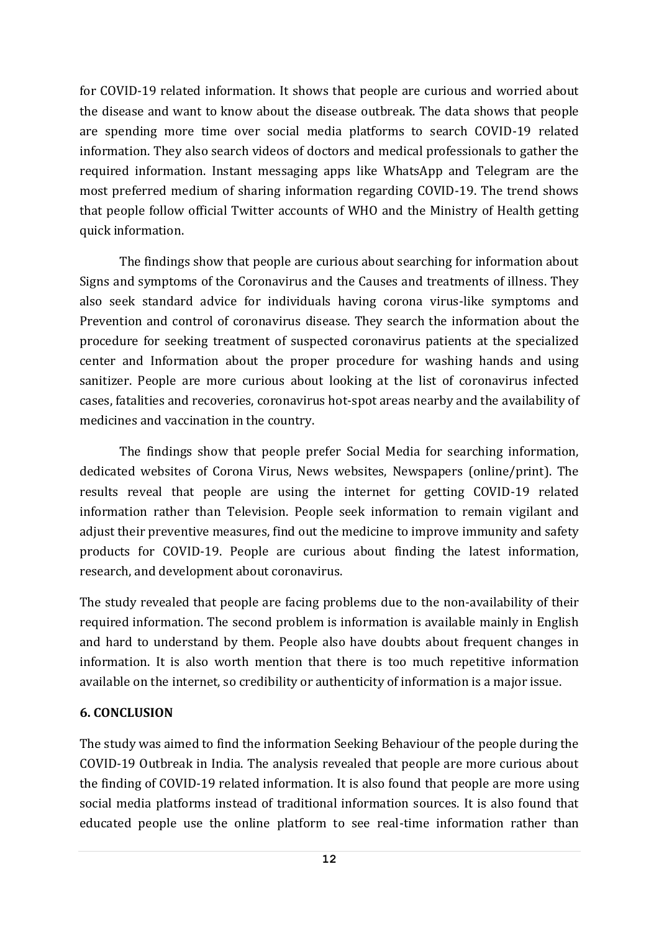for COVID-19 related information. It shows that people are curious and worried about the disease and want to know about the disease outbreak. The data shows that people are spending more time over social media platforms to search COVID-19 related information. They also search videos of doctors and medical professionals to gather the required information. Instant messaging apps like WhatsApp and Telegram are the most preferred medium of sharing information regarding COVID-19. The trend shows that people follow official Twitter accounts of WHO and the Ministry of Health getting quick information.

The findings show that people are curious about searching for information about Signs and symptoms of the Coronavirus and the Causes and treatments of illness. They also seek standard advice for individuals having corona virus-like symptoms and Prevention and control of coronavirus disease. They search the information about the procedure for seeking treatment of suspected coronavirus patients at the specialized center and Information about the proper procedure for washing hands and using sanitizer. People are more curious about looking at the list of coronavirus infected cases, fatalities and recoveries, coronavirus hot-spot areas nearby and the availability of medicines and vaccination in the country.

The findings show that people prefer Social Media for searching information, dedicated websites of Corona Virus, News websites, Newspapers (online/print). The results reveal that people are using the internet for getting COVID-19 related information rather than Television. People seek information to remain vigilant and adjust their preventive measures, find out the medicine to improve immunity and safety products for COVID-19. People are curious about finding the latest information, research, and development about coronavirus.

The study revealed that people are facing problems due to the non-availability of their required information. The second problem is information is available mainly in English and hard to understand by them. People also have doubts about frequent changes in information. It is also worth mention that there is too much repetitive information available on the internet, so credibility or authenticity of information is a major issue.

### **6. CONCLUSION**

The study was aimed to find the information Seeking Behaviour of the people during the COVID-19 Outbreak in India. The analysis revealed that people are more curious about the finding of COVID-19 related information. It is also found that people are more using social media platforms instead of traditional information sources. It is also found that educated people use the online platform to see real-time information rather than